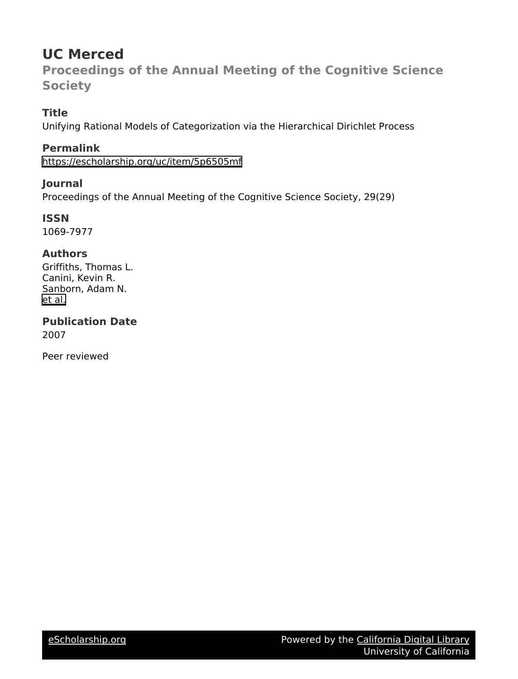# **UC Merced**

**Proceedings of the Annual Meeting of the Cognitive Science Society**

## **Title**

Unifying Rational Models of Categorization via the Hierarchical Dirichlet Process

**Permalink** <https://escholarship.org/uc/item/5p6505mf>

### **Journal**

Proceedings of the Annual Meeting of the Cognitive Science Society, 29(29)

**ISSN** 1069-7977

### **Authors**

Griffiths, Thomas L. Canini, Kevin R. Sanborn, Adam N. [et al.](https://escholarship.org/uc/item/5p6505mf#author)

**Publication Date** 2007

Peer reviewed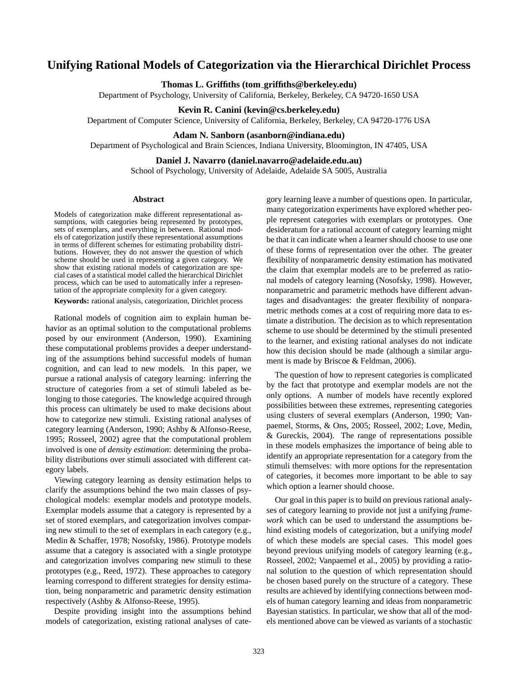### **Unifying Rational Models of Categorization via the Hierarchical Dirichlet Process**

#### **Thomas L. Griffiths (tom griffiths@berkeley.edu)**

Department of Psychology, University of California, Berkeley, Berkeley, CA 94720-1650 USA

#### **Kevin R. Canini (kevin@cs.berkeley.edu)**

Department of Computer Science, University of California, Berkeley, Berkeley, CA 94720-1776 USA

#### **Adam N. Sanborn (asanborn@indiana.edu)**

Department of Psychological and Brain Sciences, Indiana University, Bloomington, IN 47405, USA

#### **Daniel J. Navarro (daniel.navarro@adelaide.edu.au)**

School of Psychology, University of Adelaide, Adelaide SA 5005, Australia

#### **Abstract**

Models of categorization make different representational assumptions, with categories being represented by prototypes, sets of exemplars, and everything in between. Rational models of categorization justify these representational assumptions in terms of different schemes for estimating probability distributions. However, they do not answer the question of which scheme should be used in representing a given category. We show that existing rational models of categorization are special cases of a statistical model called the hierarchical Dirichlet process, which can be used to automatically infer a representation of the appropriate complexity for a given category.

**Keywords:** rational analysis, categorization, Dirichlet process

Rational models of cognition aim to explain human behavior as an optimal solution to the computational problems posed by our environment (Anderson, 1990). Examining these computational problems provides a deeper understanding of the assumptions behind successful models of human cognition, and can lead to new models. In this paper, we pursue a rational analysis of category learning: inferring the structure of categories from a set of stimuli labeled as belonging to those categories. The knowledge acquired through this process can ultimately be used to make decisions about how to categorize new stimuli. Existing rational analyses of category learning (Anderson, 1990; Ashby & Alfonso-Reese, 1995; Rosseel, 2002) agree that the computational problem involved is one of *density estimation*: determining the probability distributions over stimuli associated with different category labels.

Viewing category learning as density estimation helps to clarify the assumptions behind the two main classes of psychological models: exemplar models and prototype models. Exemplar models assume that a category is represented by a set of stored exemplars, and categorization involves comparing new stimuli to the set of exemplars in each category (e.g., Medin & Schaffer, 1978; Nosofsky, 1986). Prototype models assume that a category is associated with a single prototype and categorization involves comparing new stimuli to these prototypes (e.g., Reed, 1972). These approaches to category learning correspond to different strategies for density estimation, being nonparametric and parametric density estimation respectively (Ashby & Alfonso-Reese, 1995).

Despite providing insight into the assumptions behind models of categorization, existing rational analyses of category learning leave a number of questions open. In particular, many categorization experiments have explored whether people represent categories with exemplars or prototypes. One desideratum for a rational account of category learning might be that it can indicate when a learner should choose to use one of these forms of representation over the other. The greater flexibility of nonparametric density estimation has motivated the claim that exemplar models are to be preferred as rational models of category learning (Nosofsky, 1998). However, nonparametric and parametric methods have different advantages and disadvantages: the greater flexibility of nonparametric methods comes at a cost of requiring more data to estimate a distribution. The decision as to which representation scheme to use should be determined by the stimuli presented to the learner, and existing rational analyses do not indicate how this decision should be made (although a similar argument is made by Briscoe & Feldman, 2006).

The question of how to represent categories is complicated by the fact that prototype and exemplar models are not the only options. A number of models have recently explored possibilities between these extremes, representing categories using clusters of several exemplars (Anderson, 1990; Vanpaemel, Storms, & Ons, 2005; Rosseel, 2002; Love, Medin, & Gureckis, 2004). The range of representations possible in these models emphasizes the importance of being able to identify an appropriate representation for a category from the stimuli themselves: with more options for the representation of categories, it becomes more important to be able to say which option a learner should choose.

Our goal in this paper is to build on previous rational analyses of category learning to provide not just a unifying *framework* which can be used to understand the assumptions behind existing models of categorization, but a unifying *model* of which these models are special cases. This model goes beyond previous unifying models of category learning (e.g., Rosseel, 2002; Vanpaemel et al., 2005) by providing a rational solution to the question of which representation should be chosen based purely on the structure of a category. These results are achieved by identifying connections between models of human category learning and ideas from nonparametric Bayesian statistics. In particular, we show that all of the models mentioned above can be viewed as variants of a stochastic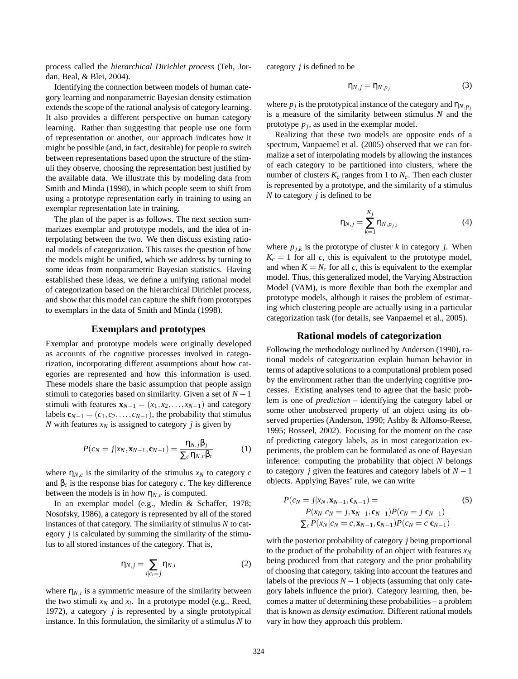process called the *hierarchical Dirichlet process* (Teh, Jordan, Beal, & Blei, 2004).

Identifying the connection between models of human category learning and nonparametric Bayesian density estimation extends the scope of the rational analysis of category learning. It also provides a different perspective on human category learning. Rather than suggesting that people use one form of representation or another, our approach indicates how it might be possible (and, in fact, desirable) for people to switch between representations based upon the structure of the stimuli they observe, choosing the representation best justified by the available data. We illustrate this by modeling data from Smith and Minda (1998), in which people seem to shift from using a prototype representation early in training to using an exemplar representation late in training.

The plan of the paper is as follows. The next section summarizes exemplar and prototype models, and the idea of interpolating between the two. We then discuss existing rational models of categorization. This raises the question of how the models might be unified, which we address by turning to some ideas from nonparametric Bayesian statistics. Having established these ideas, we define a unifying rational model of categorization based on the hierarchical Dirichlet process, and show that this model can capture the shift from prototypes to exemplars in the data of Smith and Minda (1998).

#### **Exemplars and prototypes**

Exemplar and prototype models were originally developed as accounts of the cognitive processes involved in categorization, incorporating different assumptions about how categories are represented and how this information is used. These models share the basic assumption that people assign stimuli to categories based on similarity. Given a set of  $N-1$ stimuli with features  $\mathbf{x}_{N-1} = (x_1, x_2, \dots, x_{N-1})$  and category labels  $\mathbf{c}_{N-1} = (c_1, c_2, \dots, c_{N-1})$ , the probability that stimulus *N* with features  $x_N$  is assigned to category *j* is given by

$$
P(c_N = j | x_N, \mathbf{x}_{N-1}, \mathbf{c}_{N-1}) = \frac{\eta_{N,j} \beta_j}{\sum_c \eta_{N,c} \beta_c}
$$
(1)

where  $\eta_{N,c}$  is the similarity of the stimulus  $x_N$  to category *c* and  $\beta_c$  is the response bias for category *c*. The key difference between the models is in how  $\eta_{N,c}$  is computed.

In an exemplar model (e.g., Medin & Schaffer, 1978; Nosofsky, 1986), a category is represented by all of the stored instances of that category. The similarity of stimulus *N* to category *j* is calculated by summing the similarity of the stimulus to all stored instances of the category. That is,

$$
\eta_{N,j} = \sum_{i|c_i=j} \eta_{N,i} \tag{2}
$$

where  $\eta_{N,i}$  is a symmetric measure of the similarity between the two stimuli  $x_N$  and  $x_i$ . In a prototype model (e.g., Reed, 1972), a category *j* is represented by a single prototypical instance. In this formulation, the similarity of a stimulus *N* to category *j* is defined to be

$$
\eta_{N,j} = \eta_{N,p_j} \tag{3}
$$

where  $p_j$  is the prototypical instance of the category and  $\eta_{N,p_j}$ is a measure of the similarity between stimulus *N* and the prototype *p<sup>j</sup>* , as used in the exemplar model.

Realizing that these two models are opposite ends of a spectrum, Vanpaemel et al. (2005) observed that we can formalize a set of interpolating models by allowing the instances of each category to be partitioned into clusters, where the number of clusters  $K_c$  ranges from 1 to  $N_c$ . Then each cluster is represented by a prototype, and the similarity of a stimulus *N* to category *j* is defined to be

$$
\eta_{N,j} = \sum_{k=1}^{K_j} \eta_{N,p_{j,k}} \tag{4}
$$

where  $p_{j,k}$  is the prototype of cluster *k* in category *j*. When  $K_c = 1$  for all *c*, this is equivalent to the prototype model, and when  $K = N_c$  for all *c*, this is equivalent to the exemplar model. Thus, this generalized model, the Varying Abstraction Model (VAM), is more flexible than both the exemplar and prototype models, although it raises the problem of estimating which clustering people are actually using in a particular categorization task (for details, see Vanpaemel et al., 2005).

#### **Rational models of categorization**

Following the methodology outlined by Anderson (1990), rational models of categorization explain human behavior in terms of adaptive solutions to a computational problem posed by the environment rather than the underlying cognitive processes. Existing analyses tend to agree that the basic problem is one of *prediction* – identifying the category label or some other unobserved property of an object using its observed properties (Anderson, 1990; Ashby & Alfonso-Reese, 1995; Rosseel, 2002). Focusing for the moment on the case of predicting category labels, as in most categorization experiments, the problem can be formulated as one of Bayesian inference: computing the probability that object *N* belongs to category *j* given the features and category labels of *N* −1 objects. Applying Bayes' rule, we can write

$$
P(c_N = j | x_N, \mathbf{x}_{N-1}, \mathbf{c}_{N-1}) =
$$
\n
$$
P(x_N | c_N = j, \mathbf{x}_{N-1}, \mathbf{c}_{N-1}) P(c_N = j | \mathbf{c}_{N-1})
$$
\n
$$
\frac{P(x_N | c_N = j, \mathbf{x}_{N-1}, \mathbf{c}_{N-1}) P(c_N = c | \mathbf{c}_{N-1})}{\sum_c P(x_N | c_N = c, \mathbf{x}_{N-1}, \mathbf{c}_{N-1}) P(c_N = c | \mathbf{c}_{N-1})}
$$
\n(5)

with the posterior probability of category *j* being proportional to the product of the probability of an object with features *x<sup>N</sup>* being produced from that category and the prior probability of choosing that category, taking into account the features and labels of the previous  $N-1$  objects (assuming that only category labels influence the prior). Category learning, then, becomes a matter of determining these probabilities – a problem that is known as *density estimation*. Different rational models vary in how they approach this problem.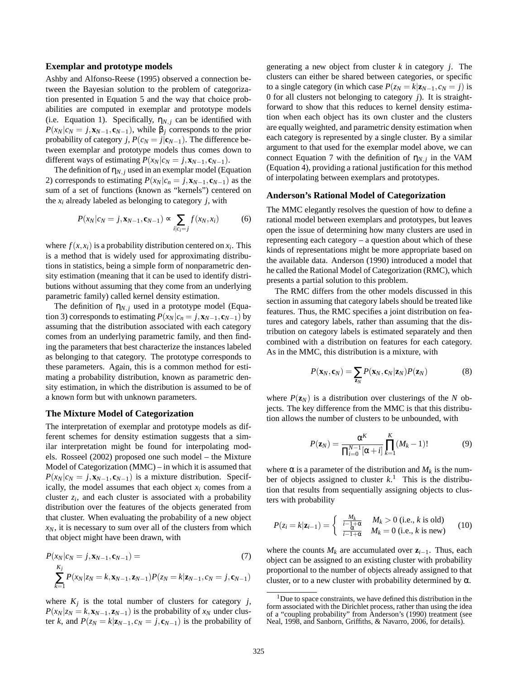#### **Exemplar and prototype models**

Ashby and Alfonso-Reese (1995) observed a connection between the Bayesian solution to the problem of categorization presented in Equation 5 and the way that choice probabilities are computed in exemplar and prototype models (i.e. Equation 1). Specifically,  $\eta_{N,i}$  can be identified with  $P(x_N | c_N = j, \mathbf{x}_{N-1}, \mathbf{c}_{N-1})$ , while  $\beta_j$  corresponds to the prior probability of category *j*,  $P(c_N = j | c_{N-1})$ . The difference between exemplar and prototype models thus comes down to different ways of estimating  $P(x_N|c_N = j, \mathbf{x}_{N-1}, \mathbf{c}_{N-1}).$ 

The definition of  $\eta_{N,i}$  used in an exemplar model (Equation 2) corresponds to estimating  $P(x_N|c_n = j, x_{N-1}, c_{N-1})$  as the sum of a set of functions (known as "kernels") centered on the  $x_i$  already labeled as belonging to category  $j$ , with

$$
P(x_N|c_N = j, \mathbf{x}_{N-1}, \mathbf{c}_{N-1}) \propto \sum_{i|c_i = j} f(x_N, x_i)
$$
 (6)

where  $f(x, x_i)$  is a probability distribution centered on  $x_i$ . This is a method that is widely used for approximating distributions in statistics, being a simple form of nonparametric density estimation (meaning that it can be used to identify distributions without assuming that they come from an underlying parametric family) called kernel density estimation.

The definition of  $\eta_{N,i}$  used in a prototype model (Equation 3) corresponds to estimating  $P(x_N|c_n = j, x_{N-1}, c_{N-1})$  by assuming that the distribution associated with each category comes from an underlying parametric family, and then finding the parameters that best characterize the instances labeled as belonging to that category. The prototype corresponds to these parameters. Again, this is a common method for estimating a probability distribution, known as parametric density estimation, in which the distribution is assumed to be of a known form but with unknown parameters.

#### **The Mixture Model of Categorization**

The interpretation of exemplar and prototype models as different schemes for density estimation suggests that a similar interpretation might be found for interpolating models. Rosseel (2002) proposed one such model – the Mixture Model of Categorization (MMC) – in which it is assumed that  $P(x_N|c_N = j, x_{N-1}, c_{N-1})$  is a mixture distribution. Specifically, the model assumes that each object  $x_i$  comes from a cluster *z<sup>i</sup>* , and each cluster is associated with a probability distribution over the features of the objects generated from that cluster. When evaluating the probability of a new object  $x_N$ , it is necessary to sum over all of the clusters from which that object might have been drawn, with

$$
P(x_N|c_N = j, \mathbf{x}_{N-1}, \mathbf{c}_{N-1}) =
$$
  
\n
$$
\sum_{k=1}^{K_j} P(x_N|z_N = k, \mathbf{x}_{N-1}, \mathbf{z}_{N-1}) P(z_N = k | \mathbf{z}_{N-1}, c_N = j, \mathbf{c}_{N-1})
$$
\n(7)

where  $K_j$  is the total number of clusters for category *j*,  $P(x_N | z_N = k, x_{N-1}, z_{N-1})$  is the probability of  $x_N$  under cluster *k*, and  $P(z_N = k | \mathbf{z}_{N-1}, c_N = j, \mathbf{c}_{N-1})$  is the probability of generating a new object from cluster *k* in category *j*. The clusters can either be shared between categories, or specific to a single category (in which case  $P(z_N = k | \mathbf{z}_{N-1}, c_N = j)$  is 0 for all clusters not belonging to category *j*). It is straightforward to show that this reduces to kernel density estimation when each object has its own cluster and the clusters are equally weighted, and parametric density estimation when each category is represented by a single cluster. By a similar argument to that used for the exemplar model above, we can connect Equation 7 with the definition of  $\eta_{N,j}$  in the VAM (Equation 4), providing a rational justification for this method of interpolating between exemplars and prototypes.

#### **Anderson's Rational Model of Categorization**

The MMC elegantly resolves the question of how to define a rational model between exemplars and prototypes, but leaves open the issue of determining how many clusters are used in representing each category – a question about which of these kinds of representations might be more appropriate based on the available data. Anderson (1990) introduced a model that he called the Rational Model of Categorization (RMC), which presents a partial solution to this problem.

The RMC differs from the other models discussed in this section in assuming that category labels should be treated like features. Thus, the RMC specifies a joint distribution on features and category labels, rather than assuming that the distribution on category labels is estimated separately and then combined with a distribution on features for each category. As in the MMC, this distribution is a mixture, with

$$
P(\mathbf{x}_N, \mathbf{c}_N) = \sum_{\mathbf{z}_N} P(\mathbf{x}_N, \mathbf{c}_N | \mathbf{z}_N) P(\mathbf{z}_N)
$$
(8)

where  $P(\mathbf{z}_N)$  is a distribution over clusterings of the *N* objects. The key difference from the MMC is that this distribution allows the number of clusters to be unbounded, with

$$
P(\mathbf{z}_N) = \frac{\alpha^K}{\prod_{i=0}^{N-1} [\alpha + i]} \prod_{k=1}^K (M_k - 1)!
$$
 (9)

where  $\alpha$  is a parameter of the distribution and  $M_k$  is the number of objects assigned to cluster  $k$ .<sup>1</sup> This is the distribution that results from sequentially assigning objects to clusters with probability

$$
P(z_i = k | \mathbf{z}_{i-1}) = \begin{cases} \frac{M_k}{i-1+\alpha} & M_k > 0 \text{ (i.e., } k \text{ is old)}\\ \frac{\alpha}{i-1+\alpha} & M_k = 0 \text{ (i.e., } k \text{ is new)} \end{cases} \tag{10}
$$

where the counts  $M_k$  are accumulated over  $z_{i-1}$ . Thus, each object can be assigned to an existing cluster with probability proportional to the number of objects already assigned to that cluster, or to a new cluster with probability determined by  $\alpha$ .

 $1$ Due to space constraints, we have defined this distribution in the form associated with the Dirichlet process, rather than using the idea of a "coupling probability" from Anderson's (1990) treatment (see Neal, 1998, and Sanborn, Griffiths, & Navarro, 2006, for details).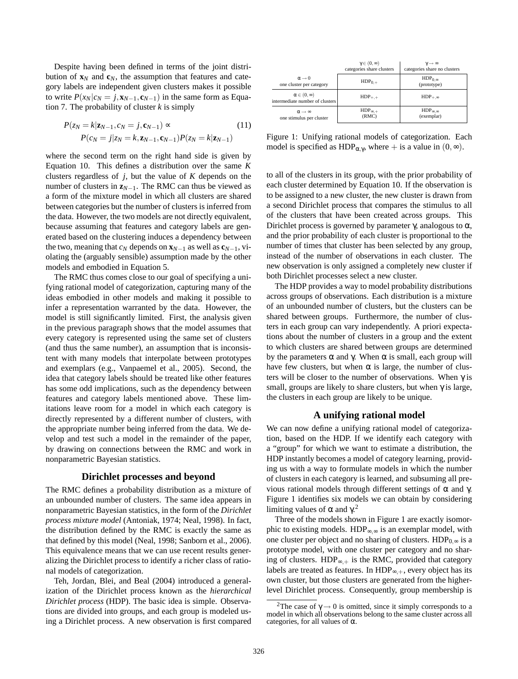Despite having been defined in terms of the joint distribution of  $\mathbf{x}_N$  and  $\mathbf{c}_N$ , the assumption that features and category labels are independent given clusters makes it possible to write  $P(x_N|c_N = j, x_{N-1}, c_{N-1})$  in the same form as Equation 7. The probability of cluster *k* is simply

$$
P(z_N = k | \mathbf{z}_{N-1}, c_N = j, \mathbf{c}_{N-1}) \propto (11)
$$
  
 
$$
P(c_N = j | z_N = k, \mathbf{z}_{N-1}, \mathbf{c}_{N-1}) P(z_N = k | \mathbf{z}_{N-1})
$$

where the second term on the right hand side is given by Equation 10. This defines a distribution over the same *K* clusters regardless of *j*, but the value of *K* depends on the number of clusters in  $\mathbf{z}_{N-1}$ . The RMC can thus be viewed as a form of the mixture model in which all clusters are shared between categories but the number of clusters is inferred from the data. However, the two models are not directly equivalent, because assuming that features and category labels are generated based on the clustering induces a dependency between the two, meaning that  $c_N$  depends on  $\mathbf{x}_{N-1}$  as well as  $\mathbf{c}_{N-1}$ , violating the (arguably sensible) assumption made by the other models and embodied in Equation 5.

The RMC thus comes close to our goal of specifying a unifying rational model of categorization, capturing many of the ideas embodied in other models and making it possible to infer a representation warranted by the data. However, the model is still significantly limited. First, the analysis given in the previous paragraph shows that the model assumes that every category is represented using the same set of clusters (and thus the same number), an assumption that is inconsistent with many models that interpolate between prototypes and exemplars (e.g., Vanpaemel et al., 2005). Second, the idea that category labels should be treated like other features has some odd implications, such as the dependency between features and category labels mentioned above. These limitations leave room for a model in which each category is directly represented by a different number of clusters, with the appropriate number being inferred from the data. We develop and test such a model in the remainder of the paper, by drawing on connections between the RMC and work in nonparametric Bayesian statistics.

#### **Dirichlet processes and beyond**

The RMC defines a probability distribution as a mixture of an unbounded number of clusters. The same idea appears in nonparametric Bayesian statistics, in the form of the *Dirichlet process mixture model* (Antoniak, 1974; Neal, 1998). In fact, the distribution defined by the RMC is exactly the same as that defined by this model (Neal, 1998; Sanborn et al., 2006). This equivalence means that we can use recent results generalizing the Dirichlet process to identify a richer class of rational models of categorization.

Teh, Jordan, Blei, and Beal (2004) introduced a generalization of the Dirichlet process known as the *hierarchical Dirichlet process* (HDP). The basic idea is simple. Observations are divided into groups, and each group is modeled using a Dirichlet process. A new observation is first compared

|                                                             | $\gamma \in (0, \infty)$<br>categories share clusters | $\gamma \rightarrow \infty$<br>categories share no clusters |
|-------------------------------------------------------------|-------------------------------------------------------|-------------------------------------------------------------|
| $\alpha \rightarrow 0$<br>one cluster per category          | $HDP_{0,+}$                                           | $HDP_{0,\infty}$<br>(prototype)                             |
| $\alpha \in (0, \infty)$<br>intermediate number of clusters | $HDP_{++}$                                            | $HDP_{+,\infty}$                                            |
| $\alpha \rightarrow \infty$<br>one stimulus per cluster     | $HDP_{\infty,+}$<br>(RMC)                             | $HDP_{\infty,\infty}$<br>(exemplar)                         |

Figure 1: Unifying rational models of categorization. Each model is specified as HDP<sub> $\alpha, \gamma$ </sub>, where + is a value in  $(0, \infty)$ .

to all of the clusters in its group, with the prior probability of each cluster determined by Equation 10. If the observation is to be assigned to a new cluster, the new cluster is drawn from a second Dirichlet process that compares the stimulus to all of the clusters that have been created across groups. This Dirichlet process is governed by parameter  $\gamma$ , analogous to  $\alpha$ , and the prior probability of each cluster is proportional to the number of times that cluster has been selected by any group, instead of the number of observations in each cluster. The new observation is only assigned a completely new cluster if both Dirichlet processes select a new cluster.

The HDP provides a way to model probability distributions across groups of observations. Each distribution is a mixture of an unbounded number of clusters, but the clusters can be shared between groups. Furthermore, the number of clusters in each group can vary independently. A priori expectations about the number of clusters in a group and the extent to which clusters are shared between groups are determined by the parameters  $\alpha$  and γ. When  $\alpha$  is small, each group will have few clusters, but when  $\alpha$  is large, the number of clusters will be closer to the number of observations. When  $\gamma$  is small, groups are likely to share clusters, but when  $\gamma$  is large, the clusters in each group are likely to be unique.

#### **A unifying rational model**

We can now define a unifying rational model of categorization, based on the HDP. If we identify each category with a "group" for which we want to estimate a distribution, the HDP instantly becomes a model of category learning, providing us with a way to formulate models in which the number of clusters in each category is learned, and subsuming all previous rational models through different settings of α and γ. Figure 1 identifies six models we can obtain by considering limiting values of  $\alpha$  and  $\gamma$ <sup>2</sup>

Three of the models shown in Figure 1 are exactly isomorphic to existing models.  $HDP_{\infty,\infty}$  is an exemplar model, with one cluster per object and no sharing of clusters.  $HDP_{0,\infty}$  is a prototype model, with one cluster per category and no sharing of clusters. HDP<sub>∞,+</sub> is the RMC, provided that category labels are treated as features. In  $HDP_{\infty,+}$ , every object has its own cluster, but those clusters are generated from the higherlevel Dirichlet process. Consequently, group membership is

<sup>&</sup>lt;sup>2</sup>The case of  $\gamma \rightarrow 0$  is omitted, since it simply corresponds to a model in which all observations belong to the same cluster across all categories, for all values of  $\alpha$ .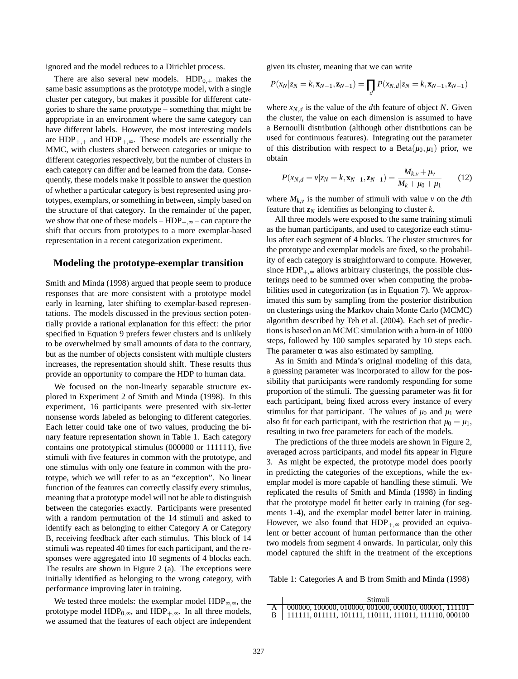ignored and the model reduces to a Dirichlet process.

There are also several new models.  $HDP_{0,+}$  makes the same basic assumptions as the prototype model, with a single cluster per category, but makes it possible for different categories to share the same prototype – something that might be appropriate in an environment where the same category can have different labels. However, the most interesting models are  $HDP_{+,+}$  and  $HDP_{+,\infty}$ . These models are essentially the MMC, with clusters shared between categories or unique to different categories respectively, but the number of clusters in each category can differ and be learned from the data. Consequently, these models make it possible to answer the question of whether a particular category is best represented using prototypes, exemplars, or something in between, simply based on the structure of that category. In the remainder of the paper, we show that one of these models –  $HDP_{+,\infty}$  – can capture the shift that occurs from prototypes to a more exemplar-based representation in a recent categorization experiment.

#### **Modeling the prototype-exemplar transition**

Smith and Minda (1998) argued that people seem to produce responses that are more consistent with a prototype model early in learning, later shifting to exemplar-based representations. The models discussed in the previous section potentially provide a rational explanation for this effect: the prior specified in Equation 9 prefers fewer clusters and is unlikely to be overwhelmed by small amounts of data to the contrary, but as the number of objects consistent with multiple clusters increases, the representation should shift. These results thus provide an opportunity to compare the HDP to human data.

We focused on the non-linearly separable structure explored in Experiment 2 of Smith and Minda (1998). In this experiment, 16 participants were presented with six-letter nonsense words labeled as belonging to different categories. Each letter could take one of two values, producing the binary feature representation shown in Table 1. Each category contains one prototypical stimulus (000000 or 111111), five stimuli with five features in common with the prototype, and one stimulus with only one feature in common with the prototype, which we will refer to as an "exception". No linear function of the features can correctly classify every stimulus, meaning that a prototype model will not be able to distinguish between the categories exactly. Participants were presented with a random permutation of the 14 stimuli and asked to identify each as belonging to either Category A or Category B, receiving feedback after each stimulus. This block of 14 stimuli was repeated 40 times for each participant, and the responses were aggregated into 10 segments of 4 blocks each. The results are shown in Figure 2 (a). The exceptions were initially identified as belonging to the wrong category, with performance improving later in training.

We tested three models: the exemplar model  $HDP_{\infty,\infty}$ , the prototype model  $HDP_{0,\infty}$ , and  $HDP_{+,\infty}$ . In all three models, we assumed that the features of each object are independent given its cluster, meaning that we can write

$$
P(x_N|z_N=k,\mathbf{x}_{N-1},\mathbf{z}_{N-1})=\prod_d P(x_{N,d}|z_N=k,\mathbf{x}_{N-1},\mathbf{z}_{N-1})
$$

where  $x_{N,d}$  is the value of the *d*th feature of object *N*. Given the cluster, the value on each dimension is assumed to have a Bernoulli distribution (although other distributions can be used for continuous features). Integrating out the parameter of this distribution with respect to a Beta $(\mu_0, \mu_1)$  prior, we obtain

$$
P(x_{N,d} = v|z_N = k, \mathbf{x}_{N-1}, \mathbf{z}_{N-1}) = \frac{M_{k,v} + \mu_v}{M_k + \mu_0 + \mu_1}
$$
(12)

where  $M_{k, \nu}$  is the number of stimuli with value  $\nu$  on the *d*th feature that  $\mathbf{z}_N$  identifies as belonging to cluster  $k$ .

All three models were exposed to the same training stimuli as the human participants, and used to categorize each stimulus after each segment of 4 blocks. The cluster structures for the prototype and exemplar models are fixed, so the probability of each category is straightforward to compute. However, since  $HDP_{+\infty}$  allows arbitrary clusterings, the possible clusterings need to be summed over when computing the probabilities used in categorization (as in Equation 7). We approximated this sum by sampling from the posterior distribution on clusterings using the Markov chain Monte Carlo (MCMC) algorithm described by Teh et al. (2004). Each set of predictions is based on an MCMC simulation with a burn-in of 1000 steps, followed by 100 samples separated by 10 steps each. The parameter  $\alpha$  was also estimated by sampling.

As in Smith and Minda's original modeling of this data, a guessing parameter was incorporated to allow for the possibility that participants were randomly responding for some proportion of the stimuli. The guessing parameter was fit for each participant, being fixed across every instance of every stimulus for that participant. The values of  $\mu_0$  and  $\mu_1$  were also fit for each participant, with the restriction that  $\mu_0 = \mu_1$ , resulting in two free parameters for each of the models.

The predictions of the three models are shown in Figure 2, averaged across participants, and model fits appear in Figure 3. As might be expected, the prototype model does poorly in predicting the categories of the exceptions, while the exemplar model is more capable of handling these stimuli. We replicated the results of Smith and Minda (1998) in finding that the prototype model fit better early in training (for segments 1-4), and the exemplar model better later in training. However, we also found that  $HDP_{+,\infty}$  provided an equivalent or better account of human performance than the other two models from segment 4 onwards. In particular, only this model captured the shift in the treatment of the exceptions

Table 1: Categories A and B from Smith and Minda (1998)

| Stimuli                                                         |
|-----------------------------------------------------------------|
| $A \mid 000000, 100000, 010000, 001000, 000010, 000001, 111101$ |
| 111111, 011111, 101111, 110111, 111011, 111110, 000100          |